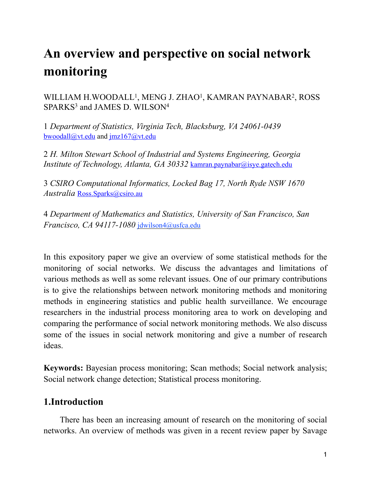# **An overview and perspective on social network monitoring**

WILLIAM H.WOODALL<sup>1</sup>, MENG J. ZHAO<sup>1</sup>, KAMRAN PAYNABAR<sup>2</sup>, ROSS SPARKS<sup>3</sup> and JAMES D. WILSON<sup>4</sup>

1 *Department of Statistics, Virginia Tech, Blacksburg, VA 24061-0439* [bwoodall@vt.edu](mailto:bwoodall@vt.edu) and [jmz167@vt.edu](mailto:jmz167@vt.edu)

2 *H. Milton Stewart School of Industrial and Systems Engineering, Georgia Institute of Technology, Atlanta, GA 30332* [kamran.paynabar@isye.gatech.edu](mailto:bwoodall@vt.edu)

3 *CSIRO Computational Informatics, Locked Bag 17, North Ryde NSW 1670 Australia* [Ross.Sparks@csiro.au](mailto:Ross.Sparks@csiro.au)

4 *Department of Mathematics and Statistics, University of San Francisco, San Francisco, CA 94117-1080* [jdwilson4@usfca.edu](mailto:jdwilson4@usfca.edu)

In this expository paper we give an overview of some statistical methods for the monitoring of social networks. We discuss the advantages and limitations of various methods as well as some relevant issues. One of our primary contributions is to give the relationships between network monitoring methods and monitoring methods in engineering statistics and public health surveillance. We encourage researchers in the industrial process monitoring area to work on developing and comparing the performance of social network monitoring methods. We also discuss some of the issues in social network monitoring and give a number of research ideas.

**Keywords:** Bayesian process monitoring; Scan methods; Social network analysis; Social network change detection; Statistical process monitoring.

# **1.Introduction**

 There has been an increasing amount of research on the monitoring of social networks. An overview of methods was given in a recent review paper by Savage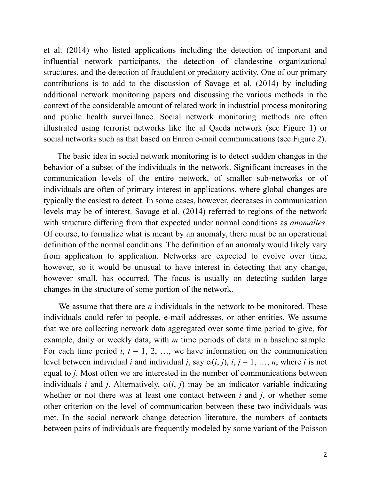et al. (2014) who listed applications including the detection of important and influential network participants, the detection of clandestine organizational structures, and the detection of fraudulent or predatory activity. One of our primary contributions is to add to the discussion of Savage et al. (2014) by including additional network monitoring papers and discussing the various methods in the context of the considerable amount of related work in industrial process monitoring and public health surveillance. Social network monitoring methods are often illustrated using terrorist networks like the al Qaeda network (see Figure 1) or social networks such as that based on Enron e-mail communications (see Figure 2).

 The basic idea in social network monitoring is to detect sudden changes in the behavior of a subset of the individuals in the network. Significant increases in the communication levels of the entire network, of smaller sub-networks or of individuals are often of primary interest in applications, where global changes are typically the easiest to detect. In some cases, however, decreases in communication levels may be of interest. Savage et al. (2014) referred to regions of the network with structure differing from that expected under normal conditions as *anomalies*. Of course, to formalize what is meant by an anomaly, there must be an operational definition of the normal conditions. The definition of an anomaly would likely vary from application to application. Networks are expected to evolve over time, however, so it would be unusual to have interest in detecting that any change, however small, has occurred. The focus is usually on detecting sudden large changes in the structure of some portion of the network.

 We assume that there are *n* individuals in the network to be monitored. These individuals could refer to people, e-mail addresses, or other entities. We assume that we are collecting network data aggregated over some time period to give, for example, daily or weekly data, with *m* time periods of data in a baseline sample. For each time period  $t, t = 1, 2, \ldots$ , we have information on the communication level between individual *i* and individual *j*, say  $c_t(i, j)$ ,  $i, j = 1, ..., n$ , where *i* is not equal to *j*. Most often we are interested in the number of communications between individuals *i* and *j*. Alternatively,  $c_t(i, j)$  may be an indicator variable indicating whether or not there was at least one contact between *i* and *j*, or whether some other criterion on the level of communication between these two individuals was met. In the social network change detection literature, the numbers of contacts between pairs of individuals are frequently modeled by some variant of the Poisson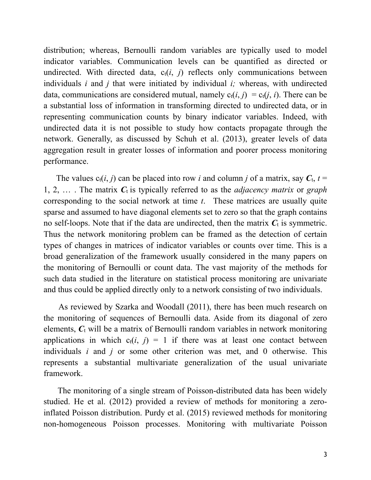distribution; whereas, Bernoulli random variables are typically used to model indicator variables. Communication levels can be quantified as directed or undirected. With directed data,  $c_t(i, j)$  reflects only communications between individuals *i* and *j* that were initiated by individual *i;* whereas, with undirected data, communications are considered mutual, namely  $c_t(i, j) = c_t(j, i)$ . There can be a substantial loss of information in transforming directed to undirected data, or in representing communication counts by binary indicator variables. Indeed, with undirected data it is not possible to study how contacts propagate through the network. Generally, as discussed by Schuh et al. (2013), greater levels of data aggregation result in greater losses of information and poorer process monitoring performance.

The values  $c_t(i, j)$  can be placed into row *i* and column *j* of a matrix, say  $C_t$ ,  $t =$ 1, 2, … . The matrix *C*t is typically referred to as the *adjacency matrix* or *graph* corresponding to the social network at time *t*. These matrices are usually quite sparse and assumed to have diagonal elements set to zero so that the graph contains no self-loops. Note that if the data are undirected, then the matrix  $C_t$  is symmetric. Thus the network monitoring problem can be framed as the detection of certain types of changes in matrices of indicator variables or counts over time. This is a broad generalization of the framework usually considered in the many papers on the monitoring of Bernoulli or count data. The vast majority of the methods for such data studied in the literature on statistical process monitoring are univariate and thus could be applied directly only to a network consisting of two individuals.

 As reviewed by Szarka and Woodall (2011), there has been much research on the monitoring of sequences of Bernoulli data. Aside from its diagonal of zero elements,  $C_t$  will be a matrix of Bernoulli random variables in network monitoring applications in which  $c_t(i, j) = 1$  if there was at least one contact between individuals *i* and *j* or some other criterion was met, and 0 otherwise. This represents a substantial multivariate generalization of the usual univariate framework.

 The monitoring of a single stream of Poisson-distributed data has been widely studied. He et al. (2012) provided a review of methods for monitoring a zeroinflated Poisson distribution. Purdy et al. (2015) reviewed methods for monitoring non-homogeneous Poisson processes. Monitoring with multivariate Poisson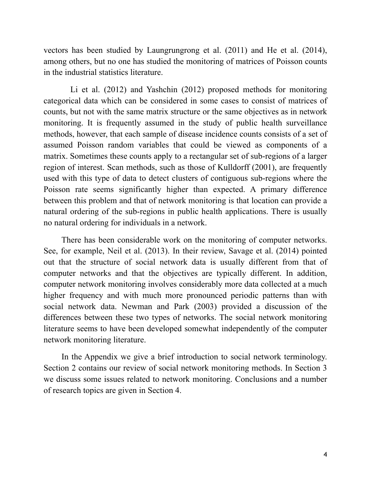vectors has been studied by Laungrungrong et al. (2011) and He et al. (2014), among others, but no one has studied the monitoring of matrices of Poisson counts in the industrial statistics literature.

 Li et al. (2012) and Yashchin (2012) proposed methods for monitoring categorical data which can be considered in some cases to consist of matrices of counts, but not with the same matrix structure or the same objectives as in network monitoring. It is frequently assumed in the study of public health surveillance methods, however, that each sample of disease incidence counts consists of a set of assumed Poisson random variables that could be viewed as components of a matrix. Sometimes these counts apply to a rectangular set of sub-regions of a larger region of interest. Scan methods, such as those of Kulldorff (2001), are frequently used with this type of data to detect clusters of contiguous sub-regions where the Poisson rate seems significantly higher than expected. A primary difference between this problem and that of network monitoring is that location can provide a natural ordering of the sub-regions in public health applications. There is usually no natural ordering for individuals in a network.

 There has been considerable work on the monitoring of computer networks. See, for example, Neil et al. (2013). In their review, Savage et al. (2014) pointed out that the structure of social network data is usually different from that of computer networks and that the objectives are typically different. In addition, computer network monitoring involves considerably more data collected at a much higher frequency and with much more pronounced periodic patterns than with social network data. Newman and Park (2003) provided a discussion of the differences between these two types of networks. The social network monitoring literature seems to have been developed somewhat independently of the computer network monitoring literature.

 In the Appendix we give a brief introduction to social network terminology. Section 2 contains our review of social network monitoring methods. In Section 3 we discuss some issues related to network monitoring. Conclusions and a number of research topics are given in Section 4.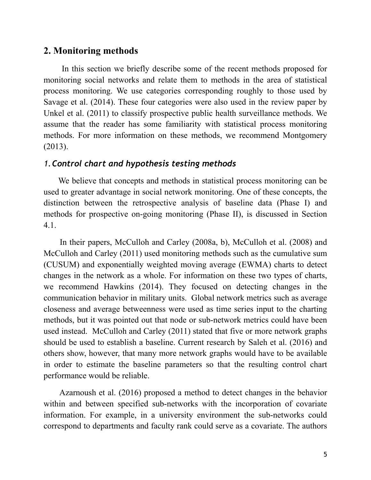## **2. Monitoring methods**

 In this section we briefly describe some of the recent methods proposed for monitoring social networks and relate them to methods in the area of statistical process monitoring. We use categories corresponding roughly to those used by Savage et al. (2014). These four categories were also used in the review paper by Unkel et al. (2011) to classify prospective public health surveillance methods. We assume that the reader has some familiarity with statistical process monitoring methods. For more information on these methods, we recommend Montgomery (2013).

#### *1.Control chart and hypothesis testing methods*

 We believe that concepts and methods in statistical process monitoring can be used to greater advantage in social network monitoring. One of these concepts, the distinction between the retrospective analysis of baseline data (Phase I) and methods for prospective on-going monitoring (Phase II), is discussed in Section 4.1.

 In their papers, McCulloh and Carley (2008a, b), McCulloh et al. (2008) and McCulloh and Carley (2011) used monitoring methods such as the cumulative sum (CUSUM) and exponentially weighted moving average (EWMA) charts to detect changes in the network as a whole. For information on these two types of charts, we recommend Hawkins (2014). They focused on detecting changes in the communication behavior in military units. Global network metrics such as average closeness and average betweenness were used as time series input to the charting methods, but it was pointed out that node or sub-network metrics could have been used instead. McCulloh and Carley (2011) stated that five or more network graphs should be used to establish a baseline. Current research by Saleh et al. (2016) and others show, however, that many more network graphs would have to be available in order to estimate the baseline parameters so that the resulting control chart performance would be reliable.

 Azarnoush et al. (2016) proposed a method to detect changes in the behavior within and between specified sub-networks with the incorporation of covariate information. For example, in a university environment the sub-networks could correspond to departments and faculty rank could serve as a covariate. The authors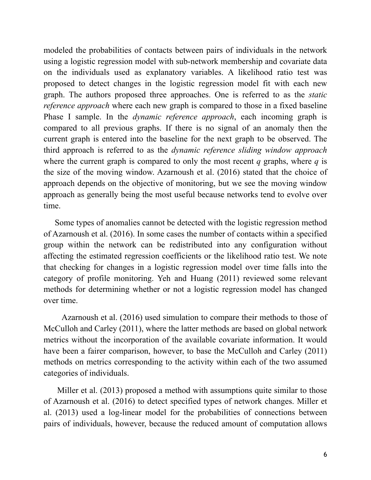modeled the probabilities of contacts between pairs of individuals in the network using a logistic regression model with sub-network membership and covariate data on the individuals used as explanatory variables. A likelihood ratio test was proposed to detect changes in the logistic regression model fit with each new graph. The authors proposed three approaches. One is referred to as the *static reference approach* where each new graph is compared to those in a fixed baseline Phase I sample. In the *dynamic reference approach*, each incoming graph is compared to all previous graphs. If there is no signal of an anomaly then the current graph is entered into the baseline for the next graph to be observed. The third approach is referred to as the *dynamic reference sliding window approach* where the current graph is compared to only the most recent  $q$  graphs, where  $q$  is the size of the moving window. Azarnoush et al. (2016) stated that the choice of approach depends on the objective of monitoring, but we see the moving window approach as generally being the most useful because networks tend to evolve over time.

 Some types of anomalies cannot be detected with the logistic regression method of Azarnoush et al. (2016). In some cases the number of contacts within a specified group within the network can be redistributed into any configuration without affecting the estimated regression coefficients or the likelihood ratio test. We note that checking for changes in a logistic regression model over time falls into the category of profile monitoring. Yeh and Huang (2011) reviewed some relevant methods for determining whether or not a logistic regression model has changed over time.

 Azarnoush et al. (2016) used simulation to compare their methods to those of McCulloh and Carley (2011), where the latter methods are based on global network metrics without the incorporation of the available covariate information. It would have been a fairer comparison, however, to base the McCulloh and Carley (2011) methods on metrics corresponding to the activity within each of the two assumed categories of individuals.

 Miller et al. (2013) proposed a method with assumptions quite similar to those of Azarnoush et al. (2016) to detect specified types of network changes. Miller et al. (2013) used a log-linear model for the probabilities of connections between pairs of individuals, however, because the reduced amount of computation allows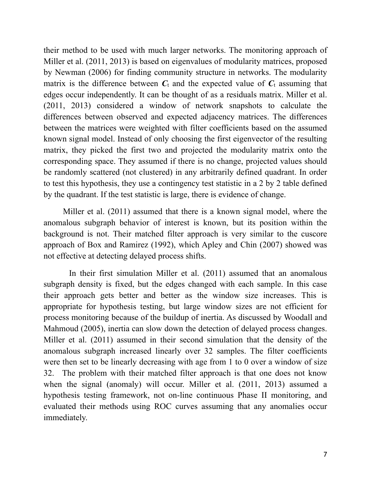their method to be used with much larger networks. The monitoring approach of Miller et al. (2011, 2013) is based on eigenvalues of modularity matrices, proposed by Newman (2006) for finding community structure in networks. The modularity matrix is the difference between  $C_t$  and the expected value of  $C_t$  assuming that edges occur independently. It can be thought of as a residuals matrix. Miller et al. (2011, 2013) considered a window of network snapshots to calculate the differences between observed and expected adjacency matrices. The differences between the matrices were weighted with filter coefficients based on the assumed known signal model. Instead of only choosing the first eigenvector of the resulting matrix, they picked the first two and projected the modularity matrix onto the corresponding space. They assumed if there is no change, projected values should be randomly scattered (not clustered) in any arbitrarily defined quadrant. In order to test this hypothesis, they use a contingency test statistic in a 2 by 2 table defined by the quadrant. If the test statistic is large, there is evidence of change.

 Miller et al. (2011) assumed that there is a known signal model, where the anomalous subgraph behavior of interest is known, but its position within the background is not. Their matched filter approach is very similar to the cuscore approach of Box and Ramirez (1992), which Apley and Chin (2007) showed was not effective at detecting delayed process shifts.

 In their first simulation Miller et al. (2011) assumed that an anomalous subgraph density is fixed, but the edges changed with each sample. In this case their approach gets better and better as the window size increases. This is appropriate for hypothesis testing, but large window sizes are not efficient for process monitoring because of the buildup of inertia. As discussed by Woodall and Mahmoud (2005), inertia can slow down the detection of delayed process changes. Miller et al. (2011) assumed in their second simulation that the density of the anomalous subgraph increased linearly over 32 samples. The filter coefficients were then set to be linearly decreasing with age from 1 to 0 over a window of size 32. The problem with their matched filter approach is that one does not know when the signal (anomaly) will occur. Miller et al. (2011, 2013) assumed a hypothesis testing framework, not on-line continuous Phase II monitoring, and evaluated their methods using ROC curves assuming that any anomalies occur immediately.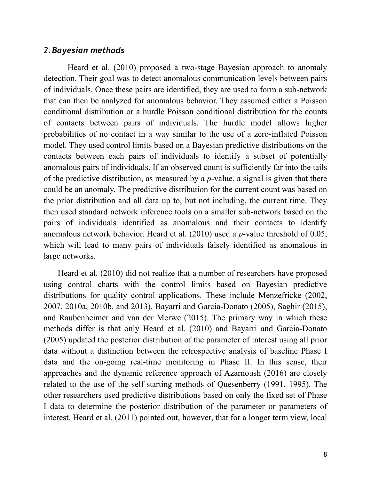#### *2.Bayesian methods*

 Heard et al. (2010) proposed a two-stage Bayesian approach to anomaly detection. Their goal was to detect anomalous communication levels between pairs of individuals. Once these pairs are identified, they are used to form a sub-network that can then be analyzed for anomalous behavior. They assumed either a Poisson conditional distribution or a hurdle Poisson conditional distribution for the counts of contacts between pairs of individuals. The hurdle model allows higher probabilities of no contact in a way similar to the use of a zero-inflated Poisson model. They used control limits based on a Bayesian predictive distributions on the contacts between each pairs of individuals to identify a subset of potentially anomalous pairs of individuals. If an observed count is sufficiently far into the tails of the predictive distribution, as measured by a *p*-value, a signal is given that there could be an anomaly. The predictive distribution for the current count was based on the prior distribution and all data up to, but not including, the current time. They then used standard network inference tools on a smaller sub-network based on the pairs of individuals identified as anomalous and their contacts to identify anomalous network behavior. Heard et al. (2010) used a *p*-value threshold of 0.05, which will lead to many pairs of individuals falsely identified as anomalous in large networks.

 Heard et al. (2010) did not realize that a number of researchers have proposed using control charts with the control limits based on Bayesian predictive distributions for quality control applications. These include Menzefricke (2002, 2007, 2010a, 2010b, and 2013), Bayarri and Garcia-Donato (2005), Saghir (2015), and Raubenheimer and van der Merwe (2015). The primary way in which these methods differ is that only Heard et al. (2010) and Bayarri and Garcia-Donato (2005) updated the posterior distribution of the parameter of interest using all prior data without a distinction between the retrospective analysis of baseline Phase I data and the on-going real-time monitoring in Phase II. In this sense, their approaches and the dynamic reference approach of Azarnoush (2016) are closely related to the use of the self-starting methods of Quesenberry (1991, 1995). The other researchers used predictive distributions based on only the fixed set of Phase I data to determine the posterior distribution of the parameter or parameters of interest. Heard et al. (2011) pointed out, however, that for a longer term view, local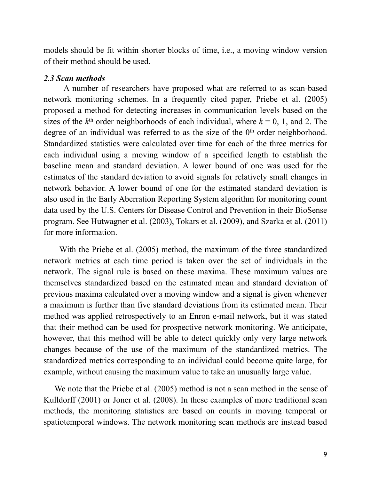models should be fit within shorter blocks of time, i.e., a moving window version of their method should be used.

#### *2.3 Scan methods*

 A number of researchers have proposed what are referred to as scan-based network monitoring schemes. In a frequently cited paper, Priebe et al. (2005) proposed a method for detecting increases in communication levels based on the sizes of the  $k<sup>th</sup>$  order neighborhoods of each individual, where  $k = 0, 1,$  and 2. The degree of an individual was referred to as the size of the  $0<sup>th</sup>$  order neighborhood. Standardized statistics were calculated over time for each of the three metrics for each individual using a moving window of a specified length to establish the baseline mean and standard deviation. A lower bound of one was used for the estimates of the standard deviation to avoid signals for relatively small changes in network behavior. A lower bound of one for the estimated standard deviation is also used in the Early Aberration Reporting System algorithm for monitoring count data used by the U.S. Centers for Disease Control and Prevention in their BioSense program. See Hutwagner et al. (2003), Tokars et al. (2009), and Szarka et al. (2011) for more information.

 With the Priebe et al. (2005) method, the maximum of the three standardized network metrics at each time period is taken over the set of individuals in the network. The signal rule is based on these maxima. These maximum values are themselves standardized based on the estimated mean and standard deviation of previous maxima calculated over a moving window and a signal is given whenever a maximum is further than five standard deviations from its estimated mean. Their method was applied retrospectively to an Enron e-mail network, but it was stated that their method can be used for prospective network monitoring. We anticipate, however, that this method will be able to detect quickly only very large network changes because of the use of the maximum of the standardized metrics. The standardized metrics corresponding to an individual could become quite large, for example, without causing the maximum value to take an unusually large value.

We note that the Priebe et al. (2005) method is not a scan method in the sense of Kulldorff (2001) or Joner et al. (2008). In these examples of more traditional scan methods, the monitoring statistics are based on counts in moving temporal or spatiotemporal windows. The network monitoring scan methods are instead based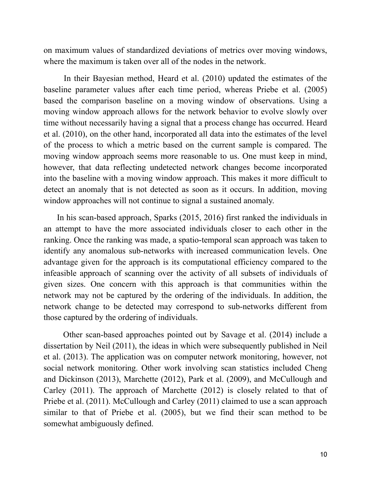on maximum values of standardized deviations of metrics over moving windows, where the maximum is taken over all of the nodes in the network.

 In their Bayesian method, Heard et al. (2010) updated the estimates of the baseline parameter values after each time period, whereas Priebe et al. (2005) based the comparison baseline on a moving window of observations. Using a moving window approach allows for the network behavior to evolve slowly over time without necessarily having a signal that a process change has occurred. Heard et al. (2010), on the other hand, incorporated all data into the estimates of the level of the process to which a metric based on the current sample is compared. The moving window approach seems more reasonable to us. One must keep in mind, however, that data reflecting undetected network changes become incorporated into the baseline with a moving window approach. This makes it more difficult to detect an anomaly that is not detected as soon as it occurs. In addition, moving window approaches will not continue to signal a sustained anomaly.

 In his scan-based approach, Sparks (2015, 2016) first ranked the individuals in an attempt to have the more associated individuals closer to each other in the ranking. Once the ranking was made, a spatio-temporal scan approach was taken to identify any anomalous sub-networks with increased communication levels. One advantage given for the approach is its computational efficiency compared to the infeasible approach of scanning over the activity of all subsets of individuals of given sizes. One concern with this approach is that communities within the network may not be captured by the ordering of the individuals. In addition, the network change to be detected may correspond to sub-networks different from those captured by the ordering of individuals.

 Other scan-based approaches pointed out by Savage et al. (2014) include a dissertation by Neil (2011), the ideas in which were subsequently published in Neil et al. (2013). The application was on computer network monitoring, however, not social network monitoring. Other work involving scan statistics included Cheng and Dickinson (2013), Marchette (2012), Park et al. (2009), and McCullough and Carley (2011). The approach of Marchette (2012) is closely related to that of Priebe et al. (2011). McCullough and Carley (2011) claimed to use a scan approach similar to that of Priebe et al. (2005), but we find their scan method to be somewhat ambiguously defined.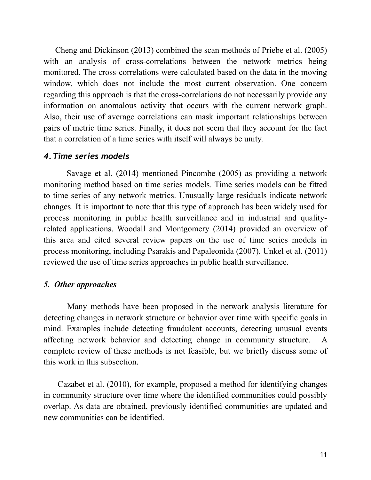Cheng and Dickinson (2013) combined the scan methods of Priebe et al. (2005) with an analysis of cross-correlations between the network metrics being monitored. The cross-correlations were calculated based on the data in the moving window, which does not include the most current observation. One concern regarding this approach is that the cross-correlations do not necessarily provide any information on anomalous activity that occurs with the current network graph. Also, their use of average correlations can mask important relationships between pairs of metric time series. Finally, it does not seem that they account for the fact that a correlation of a time series with itself will always be unity.

#### *4.Time series models*

 Savage et al. (2014) mentioned Pincombe (2005) as providing a network monitoring method based on time series models. Time series models can be fitted to time series of any network metrics. Unusually large residuals indicate network changes. It is important to note that this type of approach has been widely used for process monitoring in public health surveillance and in industrial and qualityrelated applications. Woodall and Montgomery (2014) provided an overview of this area and cited several review papers on the use of time series models in process monitoring, including Psarakis and Papaleonida (2007). Unkel et al. (2011) reviewed the use of time series approaches in public health surveillance.

### *5. Other approaches*

 Many methods have been proposed in the network analysis literature for detecting changes in network structure or behavior over time with specific goals in mind. Examples include detecting fraudulent accounts, detecting unusual events affecting network behavior and detecting change in community structure. A complete review of these methods is not feasible, but we briefly discuss some of this work in this subsection.

 Cazabet et al. (2010), for example, proposed a method for identifying changes in community structure over time where the identified communities could possibly overlap. As data are obtained, previously identified communities are updated and new communities can be identified.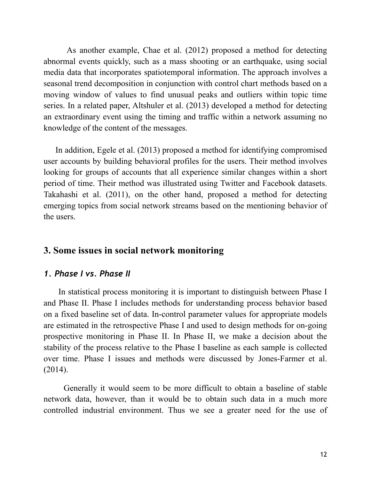As another example, Chae et al. (2012) proposed a method for detecting abnormal events quickly, such as a mass shooting or an earthquake, using social media data that incorporates spatiotemporal information. The approach involves a seasonal trend decomposition in conjunction with control chart methods based on a moving window of values to find unusual peaks and outliers within topic time series. In a related paper, Altshuler et al. (2013) developed a method for detecting an extraordinary event using the timing and traffic within a network assuming no knowledge of the content of the messages.

 In addition, Egele et al. (2013) proposed a method for identifying compromised user accounts by building behavioral profiles for the users. Their method involves looking for groups of accounts that all experience similar changes within a short period of time. Their method was illustrated using Twitter and Facebook datasets. Takahashi et al. (2011), on the other hand, proposed a method for detecting emerging topics from social network streams based on the mentioning behavior of the users.

## **3. Some issues in social network monitoring**

#### *1. Phase I vs. Phase II*

 In statistical process monitoring it is important to distinguish between Phase I and Phase II. Phase I includes methods for understanding process behavior based on a fixed baseline set of data. In-control parameter values for appropriate models are estimated in the retrospective Phase I and used to design methods for on-going prospective monitoring in Phase II. In Phase II, we make a decision about the stability of the process relative to the Phase I baseline as each sample is collected over time. Phase I issues and methods were discussed by Jones-Farmer et al. (2014).

 Generally it would seem to be more difficult to obtain a baseline of stable network data, however, than it would be to obtain such data in a much more controlled industrial environment. Thus we see a greater need for the use of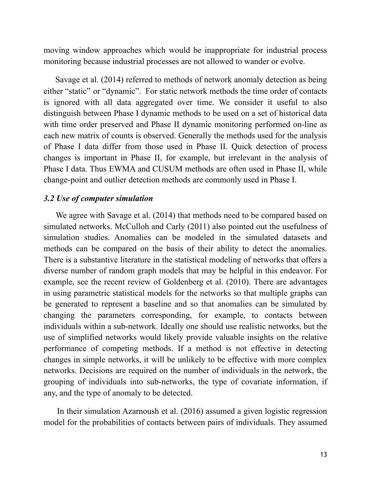moving window approaches which would be inappropriate for industrial process monitoring because industrial processes are not allowed to wander or evolve.

 Savage et al. (2014) referred to methods of network anomaly detection as being either "static" or "dynamic". For static network methods the time order of contacts is ignored with all data aggregated over time. We consider it useful to also distinguish between Phase I dynamic methods to be used on a set of historical data with time order preserved and Phase II dynamic monitoring performed on-line as each new matrix of counts is observed. Generally the methods used for the analysis of Phase I data differ from those used in Phase II. Quick detection of process changes is important in Phase II, for example, but irrelevant in the analysis of Phase I data. Thus EWMA and CUSUM methods are often used in Phase II, while change-point and outlier detection methods are commonly used in Phase I.

#### *3.2 Use of computer simulation*

 We agree with Savage et al. (2014) that methods need to be compared based on simulated networks. McCulloh and Carly (2011) also pointed out the usefulness of simulation studies. Anomalies can be modeled in the simulated datasets and methods can be compared on the basis of their ability to detect the anomalies. There is a substantive literature in the statistical modeling of networks that offers a diverse number of random graph models that may be helpful in this endeavor. For example, see the recent review of Goldenberg et al. (2010). There are advantages in using parametric statistical models for the networks so that multiple graphs can be generated to represent a baseline and so that anomalies can be simulated by changing the parameters corresponding, for example, to contacts between individuals within a sub-network. Ideally one should use realistic networks, but the use of simplified networks would likely provide valuable insights on the relative performance of competing methods. If a method is not effective in detecting changes in simple networks, it will be unlikely to be effective with more complex networks. Decisions are required on the number of individuals in the network, the grouping of individuals into sub-networks, the type of covariate information, if any, and the type of anomaly to be detected.

 In their simulation Azarnoush et al. (2016) assumed a given logistic regression model for the probabilities of contacts between pairs of individuals. They assumed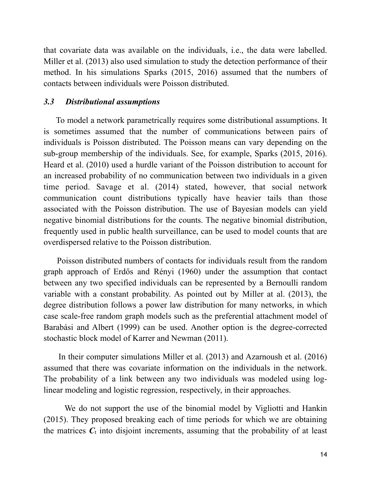that covariate data was available on the individuals, i.e., the data were labelled. Miller et al. (2013) also used simulation to study the detection performance of their method. In his simulations Sparks (2015, 2016) assumed that the numbers of contacts between individuals were Poisson distributed.

#### *3.3 Distributional assumptions*

 To model a network parametrically requires some distributional assumptions. It is sometimes assumed that the number of communications between pairs of individuals is Poisson distributed. The Poisson means can vary depending on the sub-group membership of the individuals. See, for example, Sparks (2015, 2016). Heard et al. (2010) used a hurdle variant of the Poisson distribution to account for an increased probability of no communication between two individuals in a given time period. Savage et al. (2014) stated, however, that social network communication count distributions typically have heavier tails than those associated with the Poisson distribution. The use of Bayesian models can yield negative binomial distributions for the counts. The negative binomial distribution, frequently used in public health surveillance, can be used to model counts that are overdispersed relative to the Poisson distribution.

 Poisson distributed numbers of contacts for individuals result from the random graph approach of Erdős and Rényi (1960) under the assumption that contact between any two specified individuals can be represented by a Bernoulli random variable with a constant probability. As pointed out by Miller at al. (2013), the degree distribution follows a power law distribution for many networks, in which case scale-free random graph models such as the preferential attachment model of Barabási and Albert (1999) can be used. Another option is the degree-corrected stochastic block model of Karrer and Newman (2011).

 In their computer simulations Miller et al. (2013) and Azarnoush et al. (2016) assumed that there was covariate information on the individuals in the network. The probability of a link between any two individuals was modeled using loglinear modeling and logistic regression, respectively, in their approaches.

 We do not support the use of the binomial model by Vigliotti and Hankin (2015). They proposed breaking each of time periods for which we are obtaining the matrices  $C_t$  into disjoint increments, assuming that the probability of at least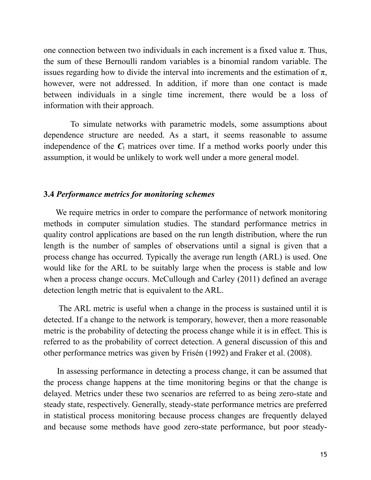one connection between two individuals in each increment is a fixed value  $\pi$ . Thus, the sum of these Bernoulli random variables is a binomial random variable. The issues regarding how to divide the interval into increments and the estimation of  $\pi$ , however, were not addressed. In addition, if more than one contact is made between individuals in a single time increment, there would be a loss of information with their approach.

 To simulate networks with parametric models, some assumptions about dependence structure are needed. As a start, it seems reasonable to assume independence of the  $C_t$  matrices over time. If a method works poorly under this assumption, it would be unlikely to work well under a more general model.

#### **3.4** *Performance metrics for monitoring schemes*

 We require metrics in order to compare the performance of network monitoring methods in computer simulation studies. The standard performance metrics in quality control applications are based on the run length distribution, where the run length is the number of samples of observations until a signal is given that a process change has occurred. Typically the average run length (ARL) is used. One would like for the ARL to be suitably large when the process is stable and low when a process change occurs. McCullough and Carley (2011) defined an average detection length metric that is equivalent to the ARL.

 The ARL metric is useful when a change in the process is sustained until it is detected. If a change to the network is temporary, however, then a more reasonable metric is the probability of detecting the process change while it is in effect. This is referred to as the probability of correct detection. A general discussion of this and other performance metrics was given by Frisén (1992) and Fraker et al. (2008).

 In assessing performance in detecting a process change, it can be assumed that the process change happens at the time monitoring begins or that the change is delayed. Metrics under these two scenarios are referred to as being zero-state and steady state, respectively. Generally, steady-state performance metrics are preferred in statistical process monitoring because process changes are frequently delayed and because some methods have good zero-state performance, but poor steady-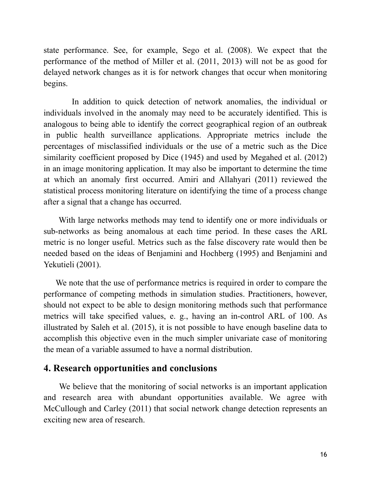state performance. See, for example, Sego et al. (2008). We expect that the performance of the method of Miller et al. (2011, 2013) will not be as good for delayed network changes as it is for network changes that occur when monitoring begins.

 In addition to quick detection of network anomalies, the individual or individuals involved in the anomaly may need to be accurately identified. This is analogous to being able to identify the correct geographical region of an outbreak in public health surveillance applications. Appropriate metrics include the percentages of misclassified individuals or the use of a metric such as the Dice similarity coefficient proposed by Dice (1945) and used by Megahed et al. (2012) in an image monitoring application. It may also be important to determine the time at which an anomaly first occurred. Amiri and Allahyari (2011) reviewed the statistical process monitoring literature on identifying the time of a process change after a signal that a change has occurred.

 With large networks methods may tend to identify one or more individuals or sub-networks as being anomalous at each time period. In these cases the ARL metric is no longer useful. Metrics such as the false discovery rate would then be needed based on the ideas of Benjamini and Hochberg (1995) and Benjamini and Yekutieli (2001).

 We note that the use of performance metrics is required in order to compare the performance of competing methods in simulation studies. Practitioners, however, should not expect to be able to design monitoring methods such that performance metrics will take specified values, e. g., having an in-control ARL of 100. As illustrated by Saleh et al. (2015), it is not possible to have enough baseline data to accomplish this objective even in the much simpler univariate case of monitoring the mean of a variable assumed to have a normal distribution.

## **4. Research opportunities and conclusions**

 We believe that the monitoring of social networks is an important application and research area with abundant opportunities available. We agree with McCullough and Carley (2011) that social network change detection represents an exciting new area of research.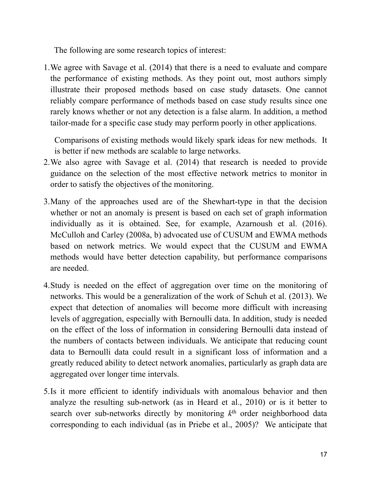The following are some research topics of interest:

1.We agree with Savage et al. (2014) that there is a need to evaluate and compare the performance of existing methods. As they point out, most authors simply illustrate their proposed methods based on case study datasets. One cannot reliably compare performance of methods based on case study results since one rarely knows whether or not any detection is a false alarm. In addition, a method tailor-made for a specific case study may perform poorly in other applications.

Comparisons of existing methods would likely spark ideas for new methods. It is better if new methods are scalable to large networks.

- 2.We also agree with Savage et al. (2014) that research is needed to provide guidance on the selection of the most effective network metrics to monitor in order to satisfy the objectives of the monitoring.
- 3.Many of the approaches used are of the Shewhart-type in that the decision whether or not an anomaly is present is based on each set of graph information individually as it is obtained. See, for example, Azarnoush et al. (2016). McCulloh and Carley (2008a, b) advocated use of CUSUM and EWMA methods based on network metrics. We would expect that the CUSUM and EWMA methods would have better detection capability, but performance comparisons are needed.
- 4.Study is needed on the effect of aggregation over time on the monitoring of networks. This would be a generalization of the work of Schuh et al. (2013). We expect that detection of anomalies will become more difficult with increasing levels of aggregation, especially with Bernoulli data. In addition, study is needed on the effect of the loss of information in considering Bernoulli data instead of the numbers of contacts between individuals. We anticipate that reducing count data to Bernoulli data could result in a significant loss of information and a greatly reduced ability to detect network anomalies, particularly as graph data are aggregated over longer time intervals.
- 5.Is it more efficient to identify individuals with anomalous behavior and then analyze the resulting sub-network (as in Heard et al., 2010) or is it better to search over sub-networks directly by monitoring *k*th order neighborhood data corresponding to each individual (as in Priebe et al., 2005)? We anticipate that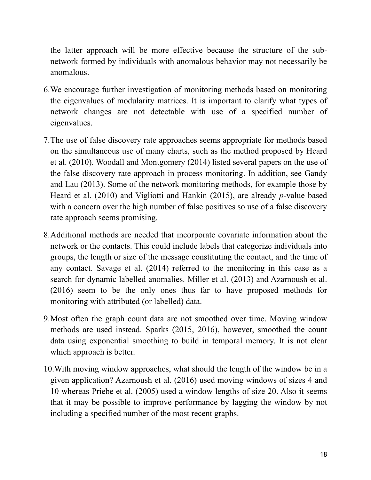the latter approach will be more effective because the structure of the subnetwork formed by individuals with anomalous behavior may not necessarily be anomalous.

- 6.We encourage further investigation of monitoring methods based on monitoring the eigenvalues of modularity matrices. It is important to clarify what types of network changes are not detectable with use of a specified number of eigenvalues.
- 7.The use of false discovery rate approaches seems appropriate for methods based on the simultaneous use of many charts, such as the method proposed by Heard et al. (2010). Woodall and Montgomery (2014) listed several papers on the use of the false discovery rate approach in process monitoring. In addition, see Gandy and Lau (2013). Some of the network monitoring methods, for example those by Heard et al. (2010) and Vigliotti and Hankin (2015), are already *p*-value based with a concern over the high number of false positives so use of a false discovery rate approach seems promising.
- 8.Additional methods are needed that incorporate covariate information about the network or the contacts. This could include labels that categorize individuals into groups, the length or size of the message constituting the contact, and the time of any contact. Savage et al. (2014) referred to the monitoring in this case as a search for dynamic labelled anomalies. Miller et al. (2013) and Azarnoush et al. (2016) seem to be the only ones thus far to have proposed methods for monitoring with attributed (or labelled) data.
- 9.Most often the graph count data are not smoothed over time. Moving window methods are used instead. Sparks (2015, 2016), however, smoothed the count data using exponential smoothing to build in temporal memory. It is not clear which approach is better.
- 10.With moving window approaches, what should the length of the window be in a given application? Azarnoush et al. (2016) used moving windows of sizes 4 and 10 whereas Priebe et al. (2005) used a window lengths of size 20. Also it seems that it may be possible to improve performance by lagging the window by not including a specified number of the most recent graphs.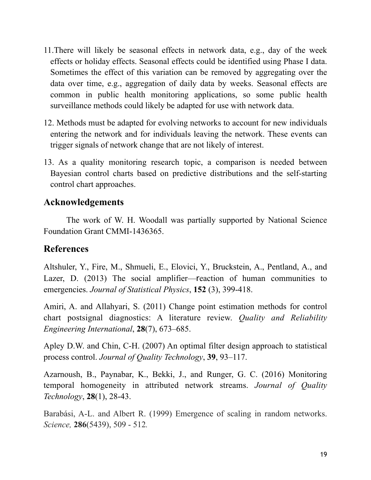- 11.There will likely be seasonal effects in network data, e.g., day of the week effects or holiday effects. Seasonal effects could be identified using Phase I data. Sometimes the effect of this variation can be removed by aggregating over the data over time, e.g., aggregation of daily data by weeks. Seasonal effects are common in public health monitoring applications, so some public health surveillance methods could likely be adapted for use with network data.
- 12. Methods must be adapted for evolving networks to account for new individuals entering the network and for individuals leaving the network. These events can trigger signals of network change that are not likely of interest.
- 13. As a quality monitoring research topic, a comparison is needed between Bayesian control charts based on predictive distributions and the self-starting control chart approaches.

## **Acknowledgements**

 The work of W. H. Woodall was partially supported by National Science Foundation Grant CMMI-1436365.

# **References**

Altshuler, Y., Fire, M., Shmueli, E., Elovici, Y., Bruckstein, A., Pentland, A., and Lazer, D. (2013) The social amplifier—reaction of human communities to emergencies. *Journal of Statistical Physics*, **152** (3), 399-418.

Amiri, A. and Allahyari, S. (2011) Change point estimation methods for control chart postsignal diagnostics: A literature review. *Quality and Reliability Engineering International*, **28**(7), 673–685.

Apley D.W. and Chin, C-H. (2007) An optimal filter design approach to statistical process control. *Journal of Quality Technology*, **39**, 93–117.

Azarnoush, B., Paynabar, K., Bekki, J., and Runger, G. C. (2016) Monitoring temporal homogeneity in attributed network streams. *Journal of Quality Technology*, **28**(1), 28-43.

Barabási, A-L. and Albert R. (1999) Emergence of scaling in random networks. *Science,* **286**(5439), 509 - 512*.*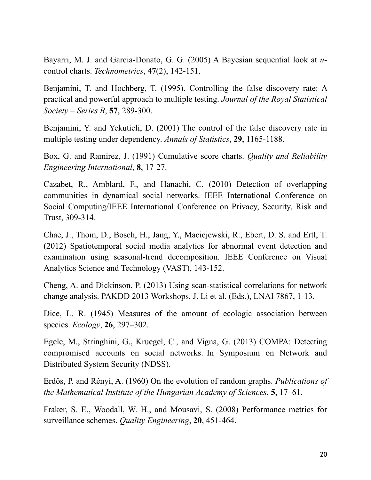Bayarri, M. J. and Garcia-Donato, G. G. (2005) A Bayesian sequential look at *u*control charts. *Technometrics*, **47**(2), 142-151.

Benjamini, T. and Hochberg, T. (1995). Controlling the false discovery rate: A practical and powerful approach to multiple testing. *Journal of the Royal Statistical Society – Series B*, **57**, 289-300.

Benjamini, Y. and Yekutieli, D. (2001) The control of the false discovery rate in multiple testing under dependency. *Annals of Statistics*, **29**, 1165-1188.

Box, G. and Ramirez, J. (1991) Cumulative score charts. *Quality and Reliability Engineering International*, **8**, 17-27.

Cazabet, R., Amblard, F., and Hanachi, C. (2010) Detection of overlapping communities in dynamical social networks. IEEE International Conference on Social Computing/IEEE International Conference on Privacy, Security, Risk and Trust, 309-314.

Chae, J., Thom, D., Bosch, H., Jang, Y., Maciejewski, R., Ebert, D. S. and Ertl, T. (2012) Spatiotemporal social media analytics for abnormal event detection and examination using seasonal-trend decomposition. IEEE Conference on Visual Analytics Science and Technology (VAST), 143-152.

Cheng, A. and Dickinson, P. (2013) Using scan-statistical correlations for network change analysis. PAKDD 2013 Workshops, J. Li et al. (Eds.), LNAI 7867, 1-13.

Dice, L. R. (1945) Measures of the amount of ecologic association between species. *Ecology*, **26**, 297–302.

Egele, M., Stringhini, G., Kruegel, C., and Vigna, G. (2013) COMPA: Detecting compromised accounts on social networks. In Symposium on Network and Distributed System Security (NDSS).

Erdős, P. and Rényi, A. (1960) On the evolution of random graphs. *Publications of the Mathematical Institute of the Hungarian Academy of Sciences*, **5**, 17–61.

Fraker, S. E., Woodall, W. H., and Mousavi, S. (2008) Performance metrics for surveillance schemes. *Quality Engineering*, **20**, 451-464.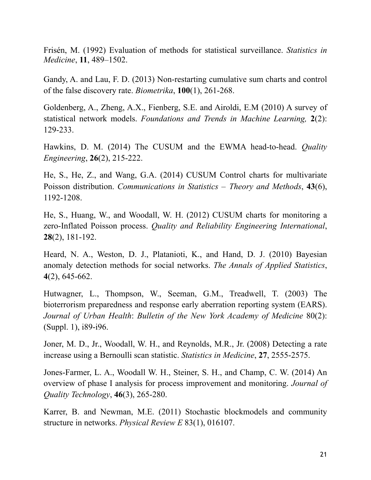Frisén, M. (1992) Evaluation of methods for statistical surveillance. *Statistics in Medicine*, **11**, 489–1502.

Gandy, A. and Lau, F. D. (2013) Non-restarting cumulative sum charts and control of the false discovery rate. *Biometrika*, **100**(1), 261-268.

Goldenberg, A., Zheng, A.X., Fienberg, S.E. and Airoldi, E.M (2010) A survey of statistical network models. *Foundations and Trends in Machine Learning,* **2**(2): 129-233.

Hawkins, D. M. (2014) The CUSUM and the EWMA head-to-head. *Quality Engineering*, **26**(2), 215-222.

He, S., He, Z., and Wang, G.A. (2014) CUSUM Control charts for multivariate Poisson distribution. *Communications in Statistics – Theory and Methods*, **43**(6), 1192-1208.

He, S., Huang, W., and Woodall, W. H. (2012) CUSUM charts for monitoring a zero-Inflated Poisson process. *Quality and Reliability Engineering International*, **28**(2), 181-192.

Heard, N. A., Weston, D. J., Platanioti, K., and Hand, D. J. (2010) Bayesian anomaly detection methods for social networks. *The Annals of Applied Statistics*, **4**(2), 645-662.

Hutwagner, L., Thompson, W., Seeman, G.M., Treadwell, T. (2003) The bioterrorism preparedness and response early aberration reporting system (EARS). *Journal of Urban Health*: *Bulletin of the New York Academy of Medicine* 80(2): (Suppl. 1), i89-i96.

Joner, M. D., Jr., Woodall, W. H., and Reynolds, M.R., Jr. (2008) Detecting a rate increase using a Bernoulli scan statistic. *Statistics in Medicine*, **27**, 2555-2575.

Jones-Farmer, L. A., Woodall W. H., Steiner, S. H., and Champ, C. W. (2014) An overview of phase I analysis for process improvement and monitoring. *Journal of Quality Technology*, **46**(3), 265-280.

Karrer, B. and Newman, M.E. (2011) Stochastic blockmodels and community structure in networks. *Physical Review E* 83(1), 016107.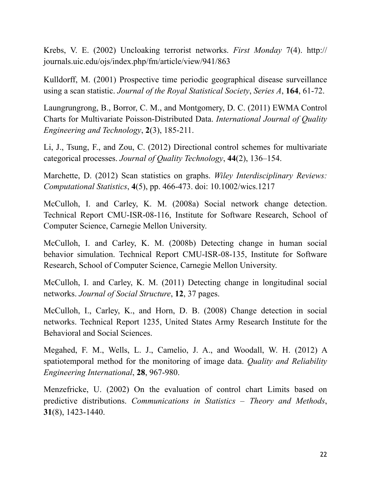Krebs, V. E. (2002) Uncloaking terrorist networks. *First Monday* 7(4). http:// journals.uic.edu/ojs/index.php/fm/article/view/941/863

Kulldorff, M. (2001) Prospective time periodic geographical disease surveillance using a scan statistic. *Journal of the Royal Statistical Society*, *Series A*, **164**, 61-72.

Laungrungrong, B., Borror, C. M., and Montgomery, D. C. (2011) EWMA Control Charts for Multivariate Poisson-Distributed Data. *International Journal of Quality Engineering and Technology*, **2**(3), 185-211.

Li, J., Tsung, F., and Zou, C. (2012) Directional control schemes for multivariate categorical processes. *Journal of Quality Technology*, **44**(2), 136–154.

Marchette, D. (2012) Scan statistics on graphs. *Wiley Interdisciplinary Reviews: Computational Statistics*, **4**(5), pp. 466-473. doi: 10.1002/wics.1217

McCulloh, I. and Carley, K. M. (2008a) Social network change detection. Technical Report CMU-ISR-08-116, Institute for Software Research, School of Computer Science, Carnegie Mellon University.

McCulloh, I. and Carley, K. M. (2008b) Detecting change in human social behavior simulation. Technical Report CMU-ISR-08-135, Institute for Software Research, School of Computer Science, Carnegie Mellon University.

McCulloh, I. and Carley, K. M. (2011) Detecting change in longitudinal social networks. *Journal of Social Structure*, **12**, 37 pages.

McCulloh, I., Carley, K., and Horn, D. B. (2008) Change detection in social networks. Technical Report 1235, United States Army Research Institute for the Behavioral and Social Sciences.

Megahed, F. M., Wells, L. J., Camelio, J. A., and Woodall, W. H. (2012) A spatiotemporal method for the monitoring of image data. *Quality and Reliability Engineering International*, **28**, 967-980.

Menzefricke, U. (2002) On the evaluation of control chart Limits based on predictive distributions. *Communications in Statistics – Theory and Methods*, **31**(8), 1423-1440.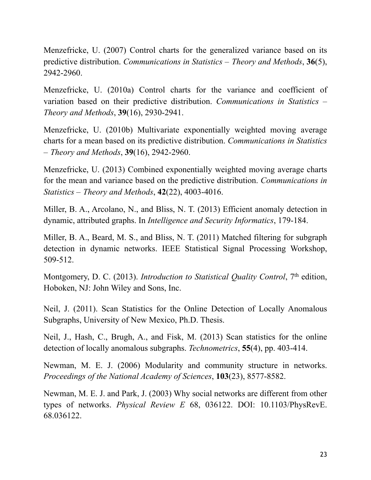Menzefricke, U. (2007) Control charts for the generalized variance based on its predictive distribution. *Communications in Statistics – Theory and Methods*, **36**(5), 2942-2960.

Menzefricke, U. (2010a) Control charts for the variance and coefficient of variation based on their predictive distribution. *Communications in Statistics – Theory and Methods*, **39**(16), 2930-2941.

Menzefricke, U. (2010b) Multivariate exponentially weighted moving average charts for a mean based on its predictive distribution. *Communications in Statistics – Theory and Methods*, **39**(16), 2942-2960.

Menzefricke, U. (2013) Combined exponentially weighted moving average charts for the mean and variance based on the predictive distribution. *Communications in Statistics – Theory and Methods*, **42**(22), 4003-4016.

Miller, B. A., Arcolano, N., and Bliss, N. T. (2013) Efficient anomaly detection in dynamic, attributed graphs. In *Intelligence and Security Informatics*, 179-184.

Miller, B. A., Beard, M. S., and Bliss, N. T. (2011) Matched filtering for subgraph detection in dynamic networks. IEEE Statistical Signal Processing Workshop, 509-512.

Montgomery, D. C. (2013). *Introduction to Statistical Quality Control*, 7<sup>th</sup> edition, Hoboken, NJ: John Wiley and Sons, Inc.

Neil, J. (2011). Scan Statistics for the Online Detection of Locally Anomalous Subgraphs, University of New Mexico, Ph.D. Thesis.

Neil, J., Hash, C., Brugh, A., and Fisk, M. (2013) Scan statistics for the online detection of locally anomalous subgraphs. *Technometrics*, **55**(4), pp. 403-414.

Newman, M. E. J. (2006) Modularity and community structure in networks. *Proceedings of the National Academy of Sciences*, **103**(23), 8577-8582.

Newman, M. E. J. and Park, J. (2003) Why social networks are different from other types of networks. *Physical Review E* 68, 036122. DOI: 10.1103/PhysRevE. 68.036122.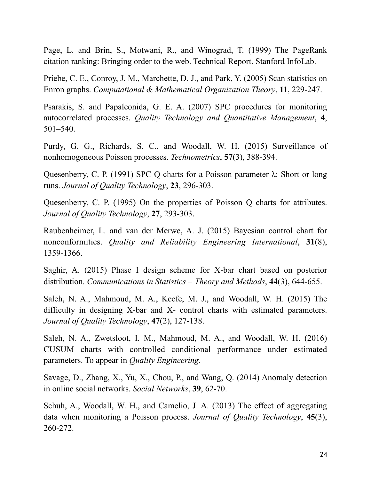Page, L. and Brin, S., Motwani, R., and Winograd, T. (1999) The PageRank citation ranking: Bringing order to the web. Technical Report. Stanford InfoLab.

Priebe, C. E., Conroy, J. M., Marchette, D. J., and Park, Y. (2005) Scan statistics on Enron graphs. *Computational & Mathematical Organization Theory*, **11**, 229-247.

Psarakis, S. and Papaleonida, G. E. A. (2007) SPC procedures for monitoring autocorrelated processes. *Quality Technology and Quantitative Management*, **4**, 501–540.

Purdy, G. G., Richards, S. C., and Woodall, W. H. (2015) Surveillance of nonhomogeneous Poisson processes. *Technometrics*, **57**(3), 388-394.

Quesenberry, C. P. (1991) SPC Q charts for a Poisson parameter  $\lambda$ : Short or long runs. *Journal of Quality Technology*, **23**, 296-303.

Quesenberry, C. P. (1995) On the properties of Poisson Q charts for attributes. *Journal of Quality Technology*, **27**, 293-303.

Raubenheimer, L. and van der Merwe, A. J. (2015) Bayesian control chart for nonconformities. *Quality and Reliability Engineering International*, **31**(8), 1359-1366.

Saghir, A. (2015) Phase I design scheme for X-bar chart based on posterior distribution. *Communications in Statistics – Theory and Methods*, **44**(3), 644-655.

Saleh, N. A., Mahmoud, M. A., Keefe, M. J., and Woodall, W. H. (2015) The difficulty in designing X-bar and X- control charts with estimated parameters. *Journal of Quality Technology*, **47**(2), 127-138.

Saleh, N. A., Zwetsloot, I. M., Mahmoud, M. A., and Woodall, W. H. (2016) CUSUM charts with controlled conditional performance under estimated parameters. To appear in *Quality Engineering*.

Savage, D., Zhang, X., Yu, X., Chou, P., and Wang, Q. (2014) Anomaly detection in online social networks. *Social Networks*, **39**, 62-70.

Schuh, A., Woodall, W. H., and Camelio, J. A. (2013) The effect of aggregating data when monitoring a Poisson process. *Journal of Quality Technology*, **45**(3), 260-272.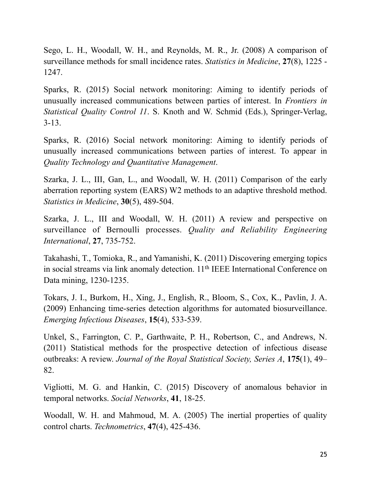Sego, L. H., Woodall, W. H., and Reynolds, M. R., Jr. (2008) A comparison of surveillance methods for small incidence rates. *Statistics in Medicine*, **27**(8), 1225 - 1247.

Sparks, R. (2015) Social network monitoring: Aiming to identify periods of unusually increased communications between parties of interest. In *Frontiers in Statistical Quality Control 11*. S. Knoth and W. Schmid (Eds.), Springer-Verlag, 3-13.

Sparks, R. (2016) Social network monitoring: Aiming to identify periods of unusually increased communications between parties of interest. To appear in *Quality Technology and Quantitative Management*.

Szarka, J. L., III, Gan, L., and Woodall, W. H. (2011) Comparison of the early aberration reporting system (EARS) W2 methods to an adaptive threshold method. *Statistics in Medicine*, **30**(5), 489-504.

Szarka, J. L., III and Woodall, W. H. (2011) A review and perspective on surveillance of Bernoulli processes. *Quality and Reliability Engineering International*, **27**, 735-752.

Takahashi, T., Tomioka, R., and Yamanishi, K. (2011) Discovering emerging topics in social streams via link anomaly detection. 11th IEEE International Conference on Data mining, 1230-1235.

Tokars, J. I., Burkom, H., Xing, J., English, R., Bloom, S., Cox, K., Pavlin, J. A. (2009) Enhancing time-series detection algorithms for automated biosurveillance. *Emerging Infectious Diseases*, **15**(4), 533-539.

Unkel, S., Farrington, C. P., Garthwaite, P. H., Robertson, C., and Andrews, N. (2011) Statistical methods for the prospective detection of infectious disease outbreaks: A review. *Journal of the Royal Statistical Society, Series A*, **175**(1), 49– 82.

Vigliotti, M. G. and Hankin, C. (2015) Discovery of anomalous behavior in temporal networks. *Social Networks*, **41**, 18-25.

Woodall, W. H. and Mahmoud, M. A. (2005) The inertial properties of quality control charts. *Technometrics*, **47**(4), 425-436.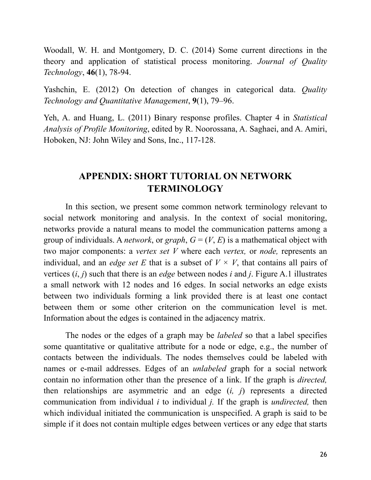Woodall, W. H. and Montgomery, D. C. (2014) Some current directions in the theory and application of statistical process monitoring. *Journal of Quality Technology*, **46**(1), 78-94.

Yashchin, E. (2012) On detection of changes in categorical data. *Quality Technology and Quantitative Management*, **9**(1), 79–96.

Yeh, A. and Huang, L. (2011) Binary response profiles. Chapter 4 in *Statistical Analysis of Profile Monitoring*, edited by R. Noorossana, A. Saghaei, and A. Amiri, Hoboken, NJ: John Wiley and Sons, Inc., 117-128.

# **APPENDIX: SHORT TUTORIAL ON NETWORK TERMINOLOGY**

In this section, we present some common network terminology relevant to social network monitoring and analysis. In the context of social monitoring, networks provide a natural means to model the communication patterns among a group of individuals. A *network*, or *graph*,  $G = (V, E)$  is a mathematical object with two major components: a *vertex set V* where each *vertex,* or *node,* represents an individual, and an *edge set E* that is a subset of  $V \times V$ , that contains all pairs of vertices (*i*, *j*) such that there is an *edge* between nodes *i* and *j*. Figure A.1 illustrates a small network with 12 nodes and 16 edges. In social networks an edge exists between two individuals forming a link provided there is at least one contact between them or some other criterion on the communication level is met. Information about the edges is contained in the adjacency matrix.

 The nodes or the edges of a graph may be *labeled* so that a label specifies some quantitative or qualitative attribute for a node or edge, e.g., the number of contacts between the individuals. The nodes themselves could be labeled with names or e-mail addresses. Edges of an *unlabeled* graph for a social network contain no information other than the presence of a link. If the graph is *directed,*  then relationships are asymmetric and an edge (*i, j*) represents a directed communication from individual *i* to individual *j.* If the graph is *undirected,* then which individual initiated the communication is unspecified. A graph is said to be simple if it does not contain multiple edges between vertices or any edge that starts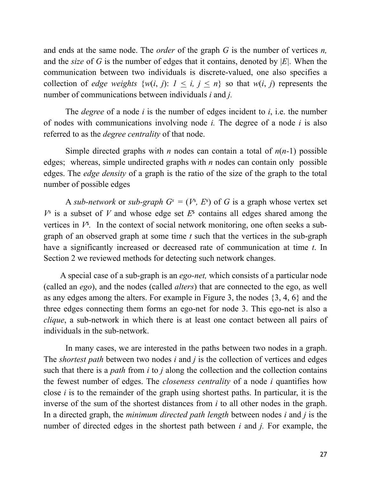and ends at the same node. The *order* of the graph *G* is the number of vertices *n,*  and the *size* of *G* is the number of edges that it contains, denoted by |*E|.* When the communication between two individuals is discrete-valued, one also specifies a collection of *edge weights*  $\{w(i, j): 1 \le i, j \le n\}$  so that  $w(i, j)$  represents the number of communications between individuals *i* and *j.* 

The *degree* of a node  $i$  is the number of edges incident to  $i$ , i.e. the number of nodes with communications involving node *i.* The degree of a node *i* is also referred to as the *degree centrality* of that node.

 Simple directed graphs with *n* nodes can contain a total of *n*(*n-*1) possible edges; whereas, simple undirected graphs with *n* nodes can contain only possible edges. The *edge density* of a graph is the ratio of the size of the graph to the total number of possible edges

A *sub-network* or *sub-graph*  $G^s = (V^s, E^s)$  of G is a graph whose vertex set  $V^s$  is a subset of *V* and whose edge set  $E^s$  contains all edges shared among the vertices in  $V^s$ . In the context of social network monitoring, one often seeks a subgraph of an observed graph at some time *t* such that the vertices in the sub-graph have a significantly increased or decreased rate of communication at time *t*. In Section 2 we reviewed methods for detecting such network changes.

 A special case of a sub-graph is an *ego-net,* which consists of a particular node (called an *ego*), and the nodes (called *alters*) that are connected to the ego, as well as any edges among the alters. For example in Figure 3, the nodes {3, 4, 6} and the three edges connecting them forms an ego-net for node 3. This ego-net is also a *clique*, a sub-network in which there is at least one contact between all pairs of individuals in the sub-network.

 In many cases, we are interested in the paths between two nodes in a graph. The *shortest path* between two nodes *i* and *j* is the collection of vertices and edges such that there is a *path* from *i* to *j* along the collection and the collection contains the fewest number of edges. The *closeness centrality* of a node *i* quantifies how close *i* is to the remainder of the graph using shortest paths. In particular, it is the inverse of the sum of the shortest distances from *i* to all other nodes in the graph. In a directed graph, the *minimum directed path length* between nodes *i* and *j* is the number of directed edges in the shortest path between *i* and *j.* For example, the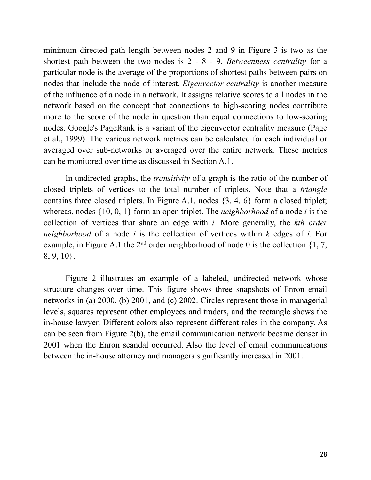minimum directed path length between nodes 2 and 9 in Figure 3 is two as the shortest path between the two nodes is 2 - 8 - 9. *Betweenness centrality* for a particular node is the average of the proportions of shortest paths between pairs on nodes that include the node of interest. *Eigenvector centrality* is another measure of the influence of a node in a network. It assigns relative scores to all nodes in the network based on the concept that connections to high-scoring nodes contribute more to the score of the node in question than equal connections to low-scoring nodes. Google's PageRank is a variant of the eigenvector centrality measure (Page et al., 1999). The various network metrics can be calculated for each individual or averaged over sub-networks or averaged over the entire network. These metrics can be monitored over time as discussed in Section A.1.

 In undirected graphs, the *transitivity* of a graph is the ratio of the number of closed triplets of vertices to the total number of triplets. Note that a *triangle*  contains three closed triplets. In Figure A.1, nodes {3, 4, 6} form a closed triplet; whereas, nodes {10, 0, 1} form an open triplet. The *neighborhood* of a node *i* is the collection of vertices that share an edge with *i.* More generally, the *kth order neighborhood* of a node *i* is the collection of vertices within *k* edges of *i.* For example, in Figure A.1 the  $2<sup>nd</sup>$  order neighborhood of node 0 is the collection {1, 7, 8, 9, 10}.

 Figure 2 illustrates an example of a labeled, undirected network whose structure changes over time. This figure shows three snapshots of Enron email networks in (a) 2000, (b) 2001, and (c) 2002. Circles represent those in managerial levels, squares represent other employees and traders, and the rectangle shows the in-house lawyer. Different colors also represent different roles in the company. As can be seen from Figure 2(b), the email communication network became denser in 2001 when the Enron scandal occurred. Also the level of email communications between the in-house attorney and managers significantly increased in 2001.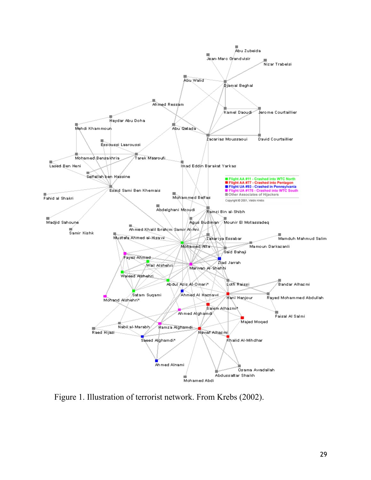

Figure 1. Illustration of terrorist network. From Krebs (2002).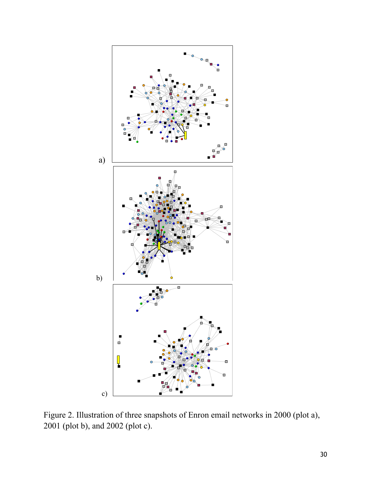

Figure 2. Illustration of three snapshots of Enron email networks in 2000 (plot a), 2001 (plot b), and 2002 (plot c).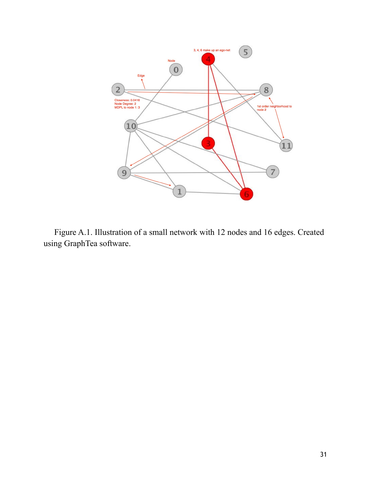

 Figure A.1. Illustration of a small network with 12 nodes and 16 edges. Created using GraphTea software.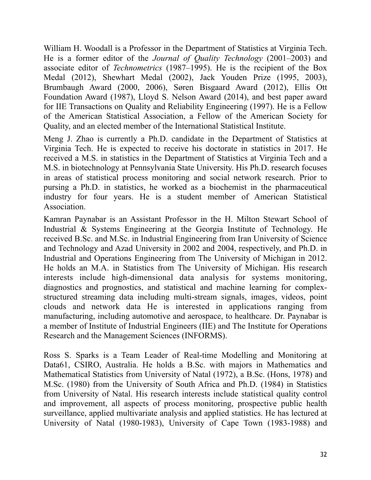William H. Woodall is a Professor in the Department of Statistics at Virginia Tech. He is a former editor of the *Journal of Quality Technology* (2001–2003) and associate editor of *Technometrics* (1987–1995). He is the recipient of the Box Medal (2012), Shewhart Medal (2002), Jack Youden Prize (1995, 2003), Brumbaugh Award (2000, 2006), Søren Bisgaard Award (2012), Ellis Ott Foundation Award (1987), Lloyd S. Nelson Award (2014), and best paper award for IIE Transactions on Quality and Reliability Engineering (1997). He is a Fellow of the American Statistical Association, a Fellow of the American Society for Quality, and an elected member of the International Statistical Institute.

Meng J. Zhao is currently a Ph.D. candidate in the Department of Statistics at Virginia Tech. He is expected to receive his doctorate in statistics in 2017. He received a M.S. in statistics in the Department of Statistics at Virginia Tech and a M.S. in biotechnology at Pennsylvania State University. His Ph.D. research focuses in areas of statistical process monitoring and social network research. Prior to pursing a Ph.D. in statistics, he worked as a biochemist in the pharmaceutical industry for four years. He is a student member of American Statistical Association.

Kamran Paynabar is an Assistant Professor in the H. Milton Stewart School of Industrial & Systems Engineering at the Georgia Institute of Technology. He received B.Sc. and M.Sc. in Industrial Engineering from Iran University of Science and Technology and Azad University in 2002 and 2004, respectively, and Ph.D. in Industrial and Operations Engineering from The University of Michigan in 2012. He holds an M.A. in Statistics from The University of Michigan. His research interests include high-dimensional data analysis for systems monitoring, diagnostics and prognostics, and statistical and machine learning for complexstructured streaming data including multi-stream signals, images, videos, point clouds and network data He is interested in applications ranging from manufacturing, including automotive and aerospace, to healthcare. Dr. Paynabar is a member of Institute of Industrial Engineers (IIE) and The Institute for Operations Research and the Management Sciences (INFORMS).

Ross S. Sparks is a Team Leader of Real-time Modelling and Monitoring at Data61, CSIRO, Australia. He holds a B.Sc. with majors in Mathematics and Mathematical Statistics from University of Natal (1972), a B.Sc. (Hons, 1978) and M.Sc. (1980) from the University of South Africa and Ph.D. (1984) in Statistics from University of Natal. His research interests include statistical quality control and improvement, all aspects of process monitoring, prospective public health surveillance, applied multivariate analysis and applied statistics. He has lectured at University of Natal (1980-1983), University of Cape Town (1983-1988) and